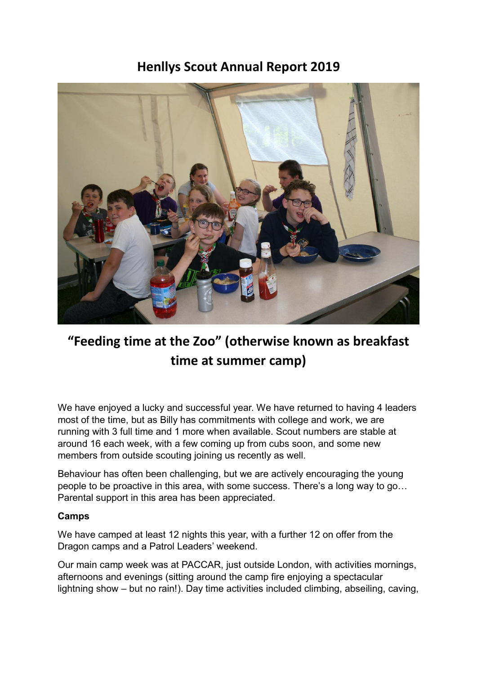**Henllys Scout Annual Report 2019**



## **"Feeding time at the Zoo" (otherwise known as breakfast time at summer camp)**

We have enjoyed a lucky and successful year. We have returned to having 4 leaders most of the time, but as Billy has commitments with college and work, we are running with 3 full time and 1 more when available. Scout numbers are stable at around 16 each week, with a few coming up from cubs soon, and some new members from outside scouting joining us recently as well.

Behaviour has often been challenging, but we are actively encouraging the young people to be proactive in this area, with some success. There's a long way to go… Parental support in this area has been appreciated.

## **Camps**

We have camped at least 12 nights this year, with a further 12 on offer from the Dragon camps and a Patrol Leaders' weekend.

Our main camp week was at PACCAR, just outside London, with activities mornings, afternoons and evenings (sitting around the camp fire enjoying a spectacular lightning show – but no rain!). Day time activities included climbing, abseiling, caving,